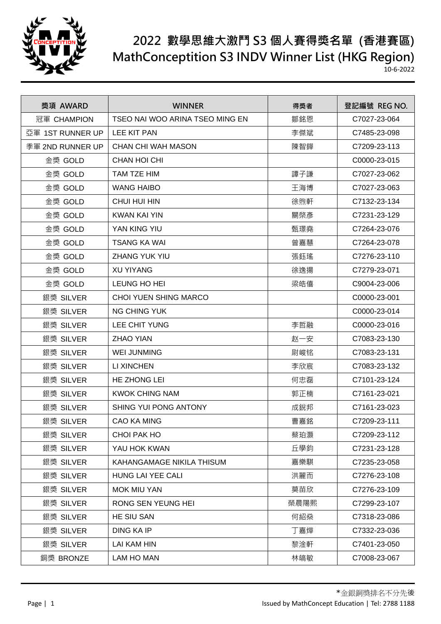

## **2022 數學思維大激鬥 S3 個人賽得獎名單 (香港賽區) MathConceptition S3 INDV Winner List (HKG Region)**

10-6-2022

| 獎項 AWARD         | <b>WINNER</b>                   | 得獎者  | 登記編號 REG NO. |
|------------------|---------------------------------|------|--------------|
| 冠軍 CHAMPION      | TSEO NAI WOO ARINA TSEO MING EN | 鄒銘恩  | C7027-23-064 |
| 亞軍 1ST RUNNER UP | <b>LEE KIT PAN</b>              | 李傑斌  | C7485-23-098 |
| 季軍 2ND RUNNER UP | <b>CHAN CHI WAH MASON</b>       | 陳智鏵  | C7209-23-113 |
| 金獎 GOLD          | <b>CHAN HOI CHI</b>             |      | C0000-23-015 |
| 金獎 GOLD          | TAM TZE HIM                     | 譚子謙  | C7027-23-062 |
| 金獎 GOLD          | <b>WANG HAIBO</b>               | 王海博  | C7027-23-063 |
| 金獎 GOLD          | CHUI HUI HIN                    | 徐煦軒  | C7132-23-134 |
| 金獎 GOLD          | KWAN KAI YIN                    | 關棨彥  | C7231-23-129 |
| 金獎 GOLD          | YAN KING YIU                    | 甄璟堯  | C7264-23-076 |
| 金獎 GOLD          | TSANG KA WAI                    | 曾嘉慧  | C7264-23-078 |
| 金獎 GOLD          | ZHANG YUK YIU                   | 張鈺瑤  | C7276-23-110 |
| 金獎 GOLD          | <b>XU YIYANG</b>                | 徐逸揚  | C7279-23-071 |
| 金獎 GOLD          | LEUNG HO HEI                    | 梁皓僖  | C9004-23-006 |
| 銀獎 SILVER        | <b>CHOI YUEN SHING MARCO</b>    |      | C0000-23-001 |
| 銀獎 SILVER        | <b>NG CHING YUK</b>             |      | C0000-23-014 |
| 銀獎 SILVER        | LEE CHIT YUNG                   | 李哲融  | C0000-23-016 |
| 銀獎 SILVER        | <b>ZHAO YIAN</b>                | 赵一安  | C7083-23-130 |
| 銀獎 SILVER        | <b>WEI JUNMING</b>              | 尉峻铭  | C7083-23-131 |
| 銀獎 SILVER        | LI XINCHEN                      | 李欣宸  | C7083-23-132 |
| 銀獎 SILVER        | HE ZHONG LEI                    | 何忠磊  | C7101-23-124 |
| 銀獎 SILVER        | <b>KWOK CHING NAM</b>           | 郭正楠  | C7161-23-021 |
| 銀獎 SILVER        | <b>SHING YUI PONG ANTONY</b>    | 成銳邦  | C7161-23-023 |
| 銀獎 SILVER        | <b>CAO KA MING</b>              | 曹嘉銘  | C7209-23-111 |
| 銀獎 SILVER        | CHOI PAK HO                     | 蔡珀灝  | C7209-23-112 |
| 銀獎 SILVER        | YAU HOK KWAN                    | 丘學鈞  | C7231-23-128 |
| 銀獎 SILVER        | KAHANGAMAGE NIKILA THISUM       | 嘉樂騏  | C7235-23-058 |
| 銀獎 SILVER        | HUNG LAI YEE CALI               | 洪麗而  | C7276-23-108 |
| 銀獎 SILVER        | <b>MOK MIU YAN</b>              | 莫苗欣  | C7276-23-109 |
| 銀獎 SILVER        | RONG SEN YEUNG HEI              | 榮晨陽熙 | C7299-23-107 |
| 銀獎 SILVER        | HE SIU SAN                      | 何紹燊  | C7318-23-086 |
| 銀獎 SILVER        | <b>DING KA IP</b>               | 丁嘉燁  | C7332-23-036 |
| 銀獎 SILVER        | <b>LAI KAM HIN</b>              | 黎淦軒  | C7401-23-050 |
| 銅獎 BRONZE        | LAM HO MAN                      | 林皜敏  | C7008-23-067 |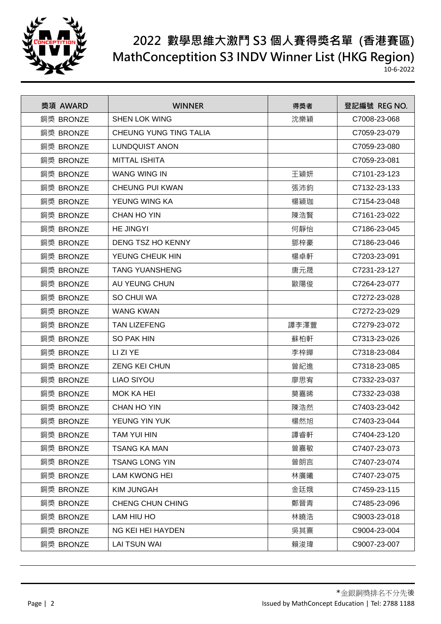

## **2022 數學思維大激鬥 S3 個人賽得獎名單 (香港賽區) MathConceptition S3 INDV Winner List (HKG Region)**

10-6-2022

| 獎項 AWARD  | <b>WINNER</b>          | 得獎者  | 登記編號 REG NO. |
|-----------|------------------------|------|--------------|
| 銅獎 BRONZE | <b>SHEN LOK WING</b>   | 沈樂穎  | C7008-23-068 |
| 銅獎 BRONZE | CHEUNG YUNG TING TALIA |      | C7059-23-079 |
| 銅獎 BRONZE | <b>LUNDQUIST ANON</b>  |      | C7059-23-080 |
| 銅獎 BRONZE | <b>MITTAL ISHITA</b>   |      | C7059-23-081 |
| 銅獎 BRONZE | <b>WANG WING IN</b>    | 王穎妍  | C7101-23-123 |
| 銅獎 BRONZE | <b>CHEUNG PUI KWAN</b> | 張沛鈞  | C7132-23-133 |
| 銅獎 BRONZE | YEUNG WING KA          | 楊穎珈  | C7154-23-048 |
| 銅獎 BRONZE | <b>CHAN HO YIN</b>     | 陳浩賢  | C7161-23-022 |
| 銅獎 BRONZE | <b>HE JINGYI</b>       | 何靜怡  | C7186-23-045 |
| 銅獎 BRONZE | DENG TSZ HO KENNY      | 鄧梓豪  | C7186-23-046 |
| 銅獎 BRONZE | YEUNG CHEUK HIN        | 楊卓軒  | C7203-23-091 |
| 銅獎 BRONZE | <b>TANG YUANSHENG</b>  | 唐元晟  | C7231-23-127 |
| 銅獎 BRONZE | AU YEUNG CHUN          | 歐陽俊  | C7264-23-077 |
| 銅獎 BRONZE | SO CHUI WA             |      | C7272-23-028 |
| 銅獎 BRONZE | <b>WANG KWAN</b>       |      | C7272-23-029 |
| 銅獎 BRONZE | <b>TAN LIZEFENG</b>    | 譚李澤豐 | C7279-23-072 |
| 銅獎 BRONZE | <b>SO PAK HIN</b>      | 蘇柏軒  | C7313-23-026 |
| 銅獎 BRONZE | LI ZI YE               | 李梓瞱  | C7318-23-084 |
| 銅獎 BRONZE | <b>ZENG KEI CHUN</b>   | 曾紀進  | C7318-23-085 |
| 銅獎 BRONZE | <b>LIAO SIYOU</b>      | 廖思宥  | C7332-23-037 |
| 銅獎 BRONZE | <b>MOK KA HEI</b>      | 莫嘉晞  | C7332-23-038 |
| 銅獎 BRONZE | <b>CHAN HO YIN</b>     | 陳浩然  | C7403-23-042 |
| 銅獎 BRONZE | YEUNG YIN YUK          | 楊然旭  | C7403-23-044 |
| 銅獎 BRONZE | TAM YUI HIN            | 譚睿軒  | C7404-23-120 |
| 銅獎 BRONZE | <b>TSANG KA MAN</b>    | 曾嘉敏  | C7407-23-073 |
| 銅獎 BRONZE | <b>TSANG LONG YIN</b>  | 曾朗言  | C7407-23-074 |
| 銅獎 BRONZE | <b>LAM KWONG HEI</b>   | 林廣曦  | C7407-23-075 |
| 銅獎 BRONZE | <b>KIM JUNGAH</b>      | 金廷娥  | C7459-23-115 |
| 銅獎 BRONZE | CHENG CHUN CHING       | 鄭晉青  | C7485-23-096 |
| 銅獎 BRONZE | LAM HIU HO             | 林曉浩  | C9003-23-018 |
| 銅獎 BRONZE | NG KEI HEI HAYDEN      | 吳其熹  | C9004-23-004 |
| 銅獎 BRONZE | <b>LAI TSUN WAI</b>    | 賴浚瑋  | C9007-23-007 |